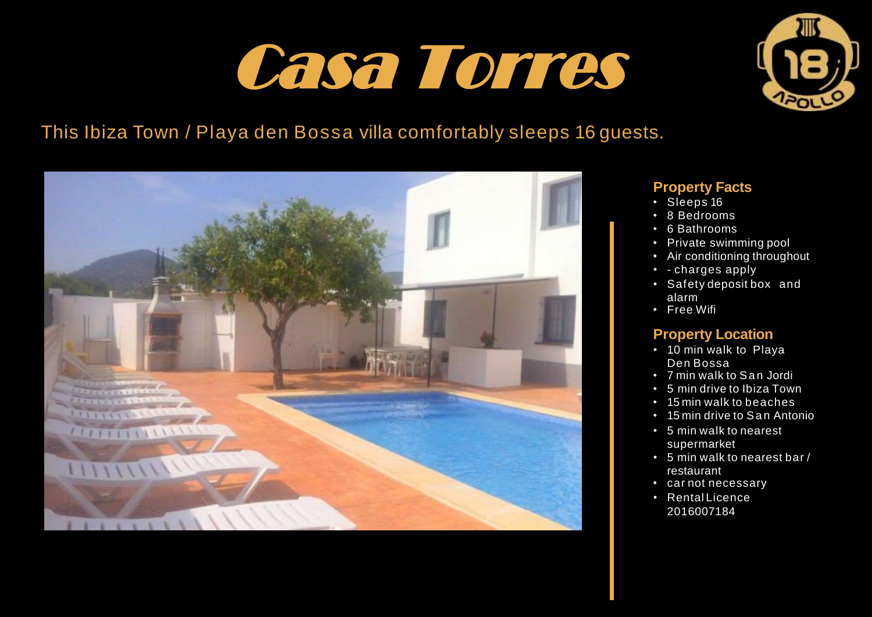## Casa Torres



## This Ibiza Town / Playa den Bossa villa comfortably sleeps 16 guests.



#### **Property Facts**

- Sleeps 16
- 8 Bedrooms
- 6 Bathrooms
- Private swimming pool
- Air conditioning throughout
- - charges apply
- Safety deposit box and alarm
- Free Wifi

#### **Property Location**

- 10 min walk to Playa Den Bossa
- 7 min walk to San Jordi
- 5 min drive to Ibiza Town
- 15 min walk to beaches
- 15 min drive to San Antonio
- 5 min walk to nearest supermarket
- 5 min walk to nearest bar / restaurant
- car not necessary
- Rental Licence 2016007184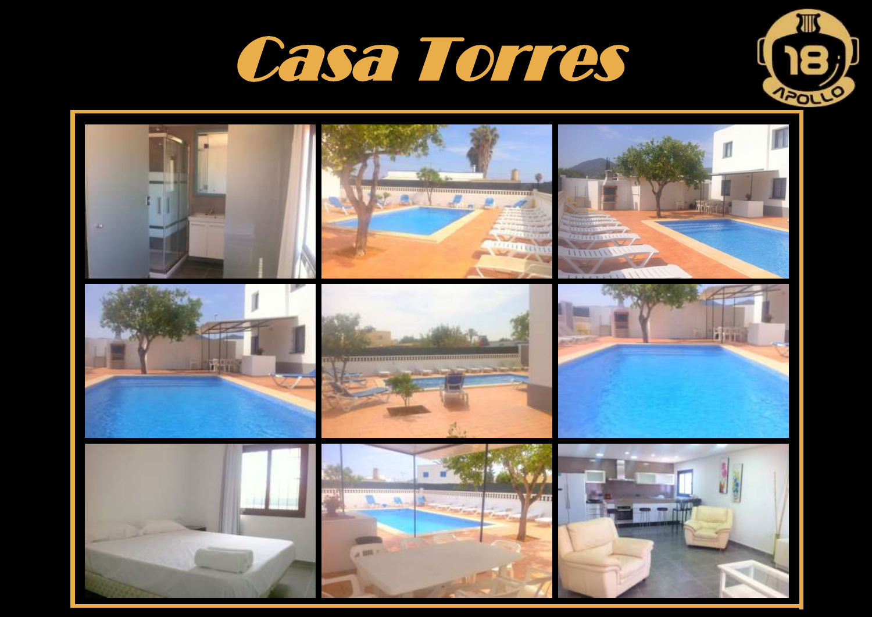



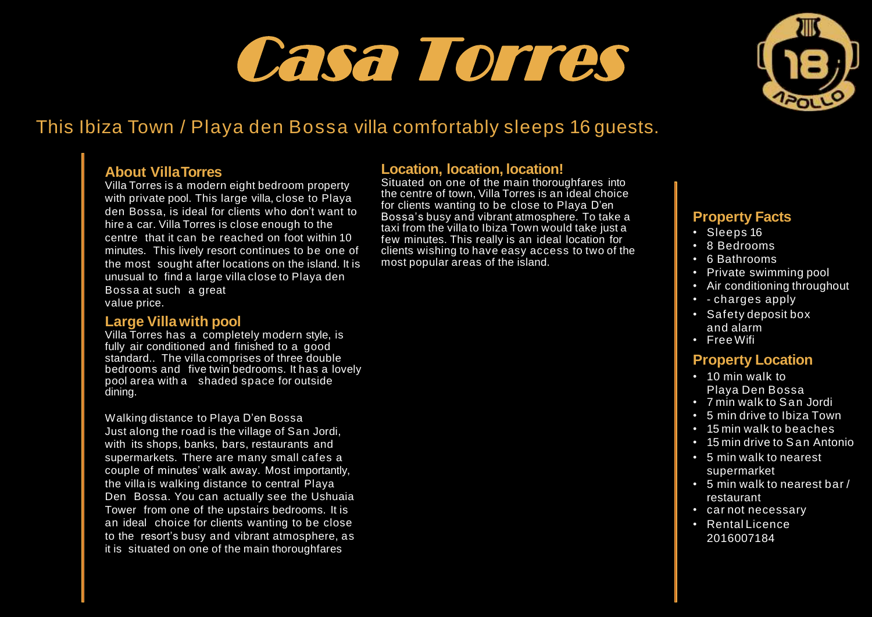# Casa Torres



## This Ibiza Town / Playa den Bossa villa comfortably sleeps 16 guests.

#### **About VillaTorres**

Villa Torres is a modern eight bedroom property with private pool. This large villa, close to Playa den Bossa, is ideal for clients who don't want to hire a car. Villa Torres is close enough to the centre that it can be reached on foot within 10 minutes. This lively resort continues to be one of the most sought after locations on the island. It is unusual to find a large villa close to Playa den Bossa at such a great value price.

#### **Large Villa with pool**

Villa Torres has a completely modern style, is fully air conditioned and finished to a good standard.. The villa comprises of three double bedrooms and five twin bedrooms. It has a lovely pool area with a shaded space for outside dining.

Walking distance to Playa D'en Bossa Just along the road is the village of San Jordi, with its shops, banks, bars, restaurants and supermarkets. There are many small cafes a couple of minutes' walk away. Most importantly, the villa is walking distance to central Playa Den Bossa. You can actually see the Ushuaia Tower from one of the upstairs bedrooms. It is an ideal choice for clients wanting to be close to the resort's busy and vibrant atmosphere, as it is situated on one of the main thoroughfares

#### **Location, location, location!**

Situated on one of the main thoroughfares into the centre of town, Villa Torres is an ideal choice for clients wanting to be close to Playa D'en Bossa's busy and vibrant atmosphere. To take a taxi from the villa to Ibiza Town would take just a few minutes. This really is an ideal location for clients wishing to have easy access to two of the most popular areas of the island.

#### **Property Facts**

- Sleeps 16
- 8 Bedrooms
- 6 Bathrooms
- Private swimming pool
- Air conditioning throughout
- - charges apply
- Safety deposit box and alarm
- Free Wifi

#### **Property Location**

- 10 min walk to Playa Den Bossa
- 7 min walk to San Jordi
- 5 min drive to Ibiza Town
- 15 min walk to beaches
- 15 min drive to San Antonio
- 5 min walk to nearest supermarket
- 5 min walk to nearest bar / restaurant
- car not necessary
- Rental Licence 2016007184